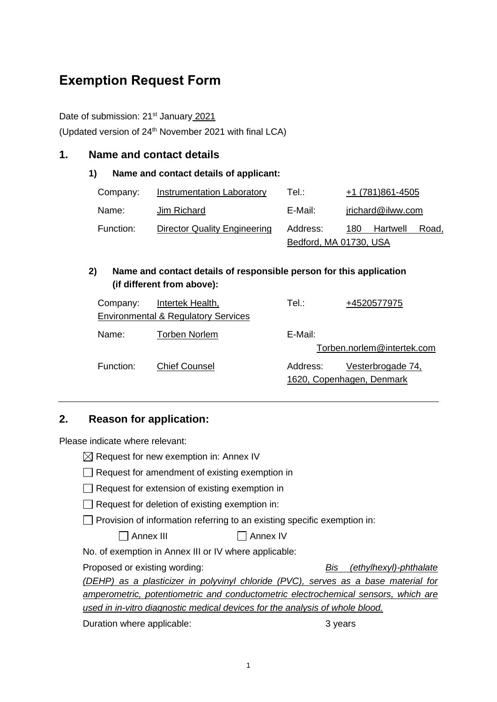# **Exemption Request Form**

#### Date of submission: 21<sup>st</sup> January 2021

(Updated version of  $24<sup>th</sup>$  November 2021 with final LCA)

#### **1. Name and contact details**

#### **1) Name and contact details of applicant:**

| Company:  | <b>Instrumentation Laboratory</b>   | Tel∴                   |     | +1 (781)861-4505  |       |
|-----------|-------------------------------------|------------------------|-----|-------------------|-------|
| Name:     | Jim Richard                         | E-Mail:                |     | jrichard@ilww.com |       |
| Function: | <b>Director Quality Engineering</b> | Address:               | 180 | Hartwell          | Road, |
|           |                                     | Bedford, MA 01730, USA |     |                   |       |

## **2) Name and contact details of responsible person for this application (if different from above):**

| Company:  | <b>Intertek Health,</b><br><b>Environmental &amp; Regulatory Services</b> | Tel∴     | +4520577975                                    |
|-----------|---------------------------------------------------------------------------|----------|------------------------------------------------|
| Name:     | <b>Torben Norlem</b>                                                      | E-Mail:  | Torben.norlem@intertek.com                     |
| Function: | <b>Chief Counsel</b>                                                      | Address: | Vesterbrogade 74,<br>1620, Copenhagen, Denmark |

## **2. Reason for application:**

Please indicate where relevant:

| $\boxtimes$ Request for new exemption in: Annex IV |  |  |
|----------------------------------------------------|--|--|
|----------------------------------------------------|--|--|

- $\Box$  Request for amendment of existing exemption in
- $\Box$  Request for extension of existing exemption in
- $\Box$  Request for deletion of existing exemption in:

 $\Box$  Provision of information referring to an existing specific exemption in:

| ヿ Annex III | Annex <sub>IV</sub> |
|-------------|---------------------|
|-------------|---------------------|

No. of exemption in Annex III or IV where applicable:

Proposed or existing wording: *Bis (ethylhexyl)-phthalate* 

*(DEHP) as a plasticizer in polyvinyl chloride (PVC), serves as a base material for amperometric, potentiometric and conductometric electrochemical sensors, which are used in in-vitro diagnostic medical devices for the analysis of whole blood.*

Duration where applicable: 3 years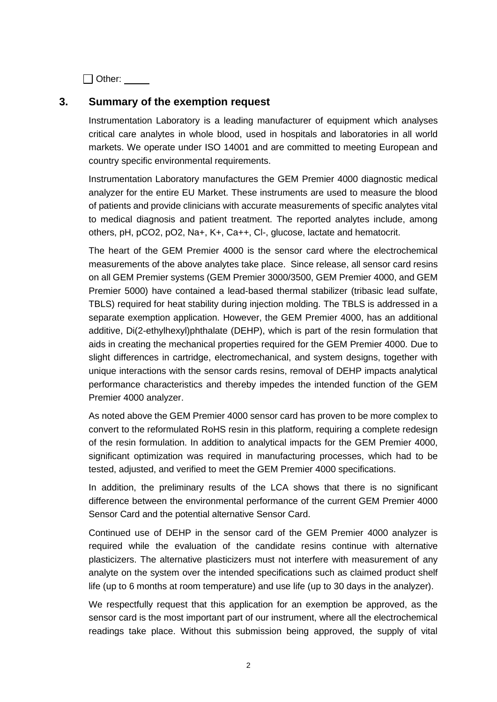□ Other:

## **3. Summary of the exemption request**

Instrumentation Laboratory is a leading manufacturer of equipment which analyses critical care analytes in whole blood, used in hospitals and laboratories in all world markets. We operate under ISO 14001 and are committed to meeting European and country specific environmental requirements.

Instrumentation Laboratory manufactures the GEM Premier 4000 diagnostic medical analyzer for the entire EU Market. These instruments are used to measure the blood of patients and provide clinicians with accurate measurements of specific analytes vital to medical diagnosis and patient treatment. The reported analytes include, among others, pH, pCO2, pO2, Na+, K+, Ca++, Cl-, glucose, lactate and hematocrit.

The heart of the GEM Premier 4000 is the sensor card where the electrochemical measurements of the above analytes take place. Since release, all sensor card resins on all GEM Premier systems (GEM Premier 3000/3500, GEM Premier 4000, and GEM Premier 5000) have contained a lead-based thermal stabilizer (tribasic lead sulfate, TBLS) required for heat stability during injection molding. The TBLS is addressed in a separate exemption application. However, the GEM Premier 4000, has an additional additive, Di(2-ethylhexyl)phthalate (DEHP), which is part of the resin formulation that aids in creating the mechanical properties required for the GEM Premier 4000. Due to slight differences in cartridge, electromechanical, and system designs, together with unique interactions with the sensor cards resins, removal of DEHP impacts analytical performance characteristics and thereby impedes the intended function of the GEM Premier 4000 analyzer.

As noted above the GEM Premier 4000 sensor card has proven to be more complex to convert to the reformulated RoHS resin in this platform, requiring a complete redesign of the resin formulation. In addition to analytical impacts for the GEM Premier 4000, significant optimization was required in manufacturing processes, which had to be tested, adjusted, and verified to meet the GEM Premier 4000 specifications.

In addition, the preliminary results of the LCA shows that there is no significant difference between the environmental performance of the current GEM Premier 4000 Sensor Card and the potential alternative Sensor Card.

Continued use of DEHP in the sensor card of the GEM Premier 4000 analyzer is required while the evaluation of the candidate resins continue with alternative plasticizers. The alternative plasticizers must not interfere with measurement of any analyte on the system over the intended specifications such as claimed product shelf life (up to 6 months at room temperature) and use life (up to 30 days in the analyzer).

We respectfully request that this application for an exemption be approved, as the sensor card is the most important part of our instrument, where all the electrochemical readings take place. Without this submission being approved, the supply of vital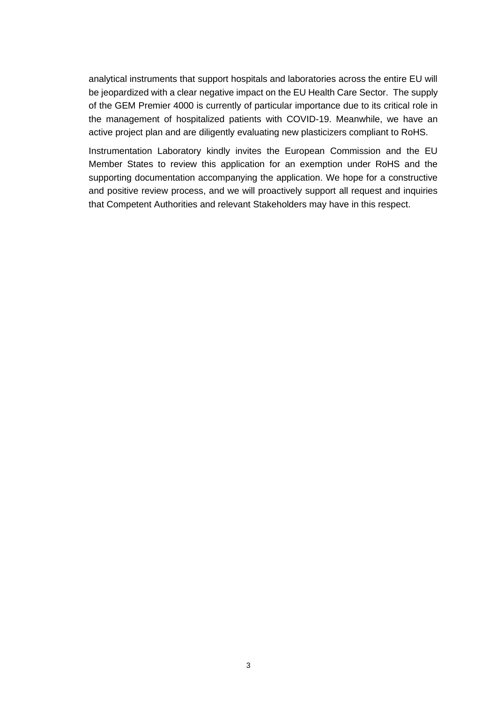analytical instruments that support hospitals and laboratories across the entire EU will be jeopardized with a clear negative impact on the EU Health Care Sector. The supply of the GEM Premier 4000 is currently of particular importance due to its critical role in the management of hospitalized patients with COVID-19. Meanwhile, we have an active project plan and are diligently evaluating new plasticizers compliant to RoHS.

Instrumentation Laboratory kindly invites the European Commission and the EU Member States to review this application for an exemption under RoHS and the supporting documentation accompanying the application. We hope for a constructive and positive review process, and we will proactively support all request and inquiries that Competent Authorities and relevant Stakeholders may have in this respect.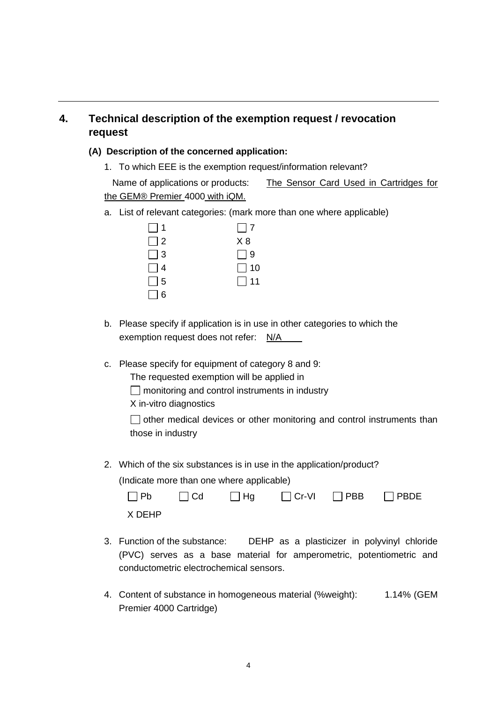# **4. Technical description of the exemption request / revocation request**

#### **(A) Description of the concerned application:**

1. To which EEE is the exemption request/information relevant?

Name of applications or products: The Sensor Card Used in Cartridges for the GEM® Premier 4000 with iQM.

a. List of relevant categories: (mark more than one where applicable)

| $\Box$ 1 | $\Box$ 7  |
|----------|-----------|
| $\Box$ 2 | X8        |
| $\Box$ 3 | $\Box$ 9  |
| $\Box$ 4 | $\Box$ 10 |
| $\Box$ 5 | $\Box$ 11 |
| $\Box$ 6 |           |

- b. Please specify if application is in use in other categories to which the exemption request does not refer: N/A
- c. Please specify for equipment of category 8 and 9:
	- The requested exemption will be applied in
	- $\Box$  monitoring and control instruments in industry
	- X in-vitro diagnostics
	- $\Box$  other medical devices or other monitoring and control instruments than those in industry
- 2. Which of the six substances is in use in the application/product?

(Indicate more than one where applicable)

|        |  | $\Box$ Pb $\Box$ Cd $\Box$ Hg $\Box$ Cr-VI $\Box$ PBB $\Box$ PBDE |  |
|--------|--|-------------------------------------------------------------------|--|
| X DEHP |  |                                                                   |  |

- 3. Function of the substance: DEHP as a plasticizer in polyvinyl chloride (PVC) serves as a base material for amperometric, potentiometric and conductometric electrochemical sensors.
- 4. Content of substance in homogeneous material (%weight): 1.14% (GEM Premier 4000 Cartridge)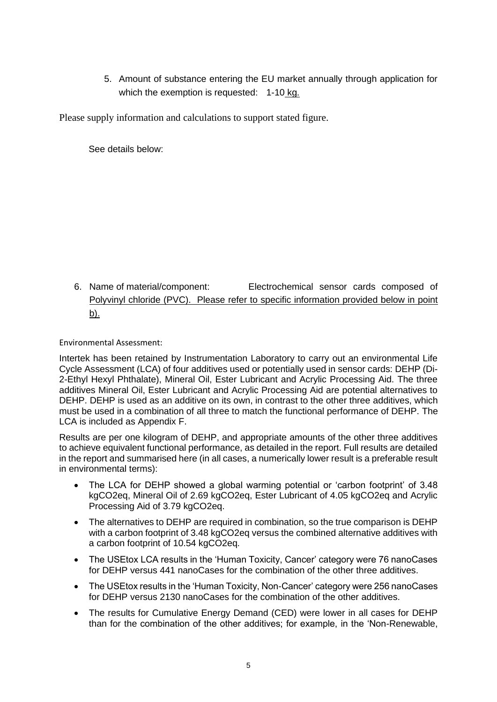5. Amount of substance entering the EU market annually through application for which the exemption is requested: 1-10 kg.

Please supply information and calculations to support stated figure.

See details below:

6. Name of material/component: Electrochemical sensor cards composed of Polyvinyl chloride (PVC). Please refer to specific information provided below in point b).

Environmental Assessment:

Intertek has been retained by Instrumentation Laboratory to carry out an environmental Life Cycle Assessment (LCA) of four additives used or potentially used in sensor cards: DEHP (Di-2-Ethyl Hexyl Phthalate), Mineral Oil, Ester Lubricant and Acrylic Processing Aid. The three additives Mineral Oil, Ester Lubricant and Acrylic Processing Aid are potential alternatives to DEHP. DEHP is used as an additive on its own, in contrast to the other three additives, which must be used in a combination of all three to match the functional performance of DEHP. The LCA is included as Appendix F.

Results are per one kilogram of DEHP, and appropriate amounts of the other three additives to achieve equivalent functional performance, as detailed in the report. Full results are detailed in the report and summarised here (in all cases, a numerically lower result is a preferable result in environmental terms):

- The LCA for DEHP showed a global warming potential or 'carbon footprint' of 3.48 kgCO2eq, Mineral Oil of 2.69 kgCO2eq, Ester Lubricant of 4.05 kgCO2eq and Acrylic Processing Aid of 3.79 kgCO2eq.
- The alternatives to DEHP are required in combination, so the true comparison is DEHP with a carbon footprint of 3.48 kgCO2eq versus the combined alternative additives with a carbon footprint of 10.54 kgCO2eq.
- The USEtox LCA results in the 'Human Toxicity, Cancer' category were 76 nanoCases for DEHP versus 441 nanoCases for the combination of the other three additives.
- The USEtox results in the 'Human Toxicity, Non-Cancer' category were 256 nanoCases for DEHP versus 2130 nanoCases for the combination of the other additives.
- The results for Cumulative Energy Demand (CED) were lower in all cases for DEHP than for the combination of the other additives; for example, in the 'Non-Renewable,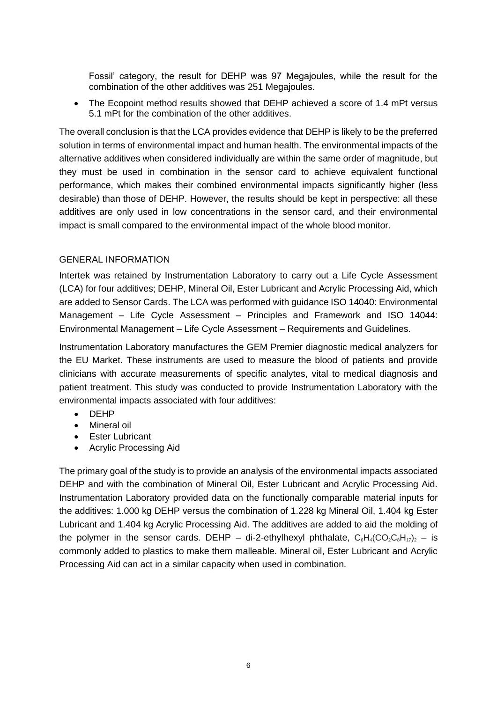Fossil' category, the result for DEHP was 97 Megajoules, while the result for the combination of the other additives was 251 Megajoules.

• The Ecopoint method results showed that DEHP achieved a score of 1.4 mPt versus 5.1 mPt for the combination of the other additives.

The overall conclusion is that the LCA provides evidence that DEHP is likely to be the preferred solution in terms of environmental impact and human health. The environmental impacts of the alternative additives when considered individually are within the same order of magnitude, but they must be used in combination in the sensor card to achieve equivalent functional performance, which makes their combined environmental impacts significantly higher (less desirable) than those of DEHP. However, the results should be kept in perspective: all these additives are only used in low concentrations in the sensor card, and their environmental impact is small compared to the environmental impact of the whole blood monitor.

#### GENERAL INFORMATION

Intertek was retained by Instrumentation Laboratory to carry out a Life Cycle Assessment (LCA) for four additives; DEHP, Mineral Oil, Ester Lubricant and Acrylic Processing Aid, which are added to Sensor Cards. The LCA was performed with guidance ISO 14040: Environmental Management – Life Cycle Assessment – Principles and Framework and ISO 14044: Environmental Management – Life Cycle Assessment – Requirements and Guidelines.

Instrumentation Laboratory manufactures the GEM Premier diagnostic medical analyzers for the EU Market. These instruments are used to measure the blood of patients and provide clinicians with accurate measurements of specific analytes, vital to medical diagnosis and patient treatment. This study was conducted to provide Instrumentation Laboratory with the environmental impacts associated with four additives:

- DEHP
- Mineral oil
- Ester Lubricant
- Acrylic Processing Aid

The primary goal of the study is to provide an analysis of the environmental impacts associated DEHP and with the combination of Mineral Oil, Ester Lubricant and Acrylic Processing Aid. Instrumentation Laboratory provided data on the functionally comparable material inputs for the additives: 1.000 kg DEHP versus the combination of 1.228 kg Mineral Oil, 1.404 kg Ester Lubricant and 1.404 kg Acrylic Processing Aid. The additives are added to aid the molding of the polymer in the sensor cards. DEHP – di-2-ethylhexyl phthalate,  $C_6H_4(CO_2C_8H_{17})_2$  – is commonly added to plastics to make them malleable. Mineral oil, Ester Lubricant and Acrylic Processing Aid can act in a similar capacity when used in combination.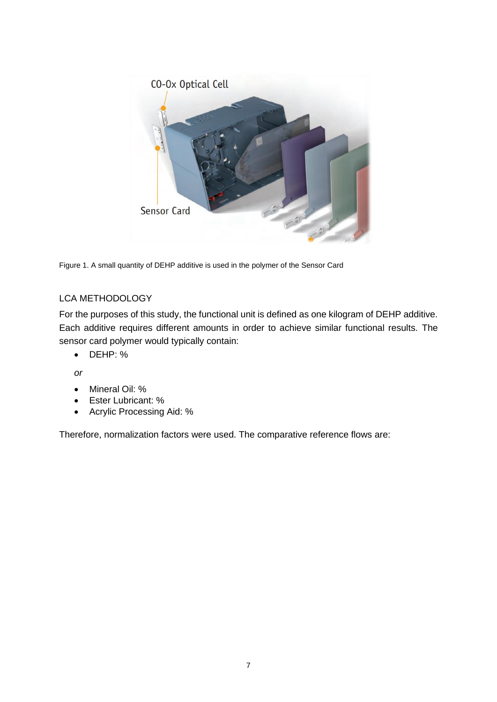

Figure 1. A small quantity of DEHP additive is used in the polymer of the Sensor Card

#### LCA METHODOLOGY

For the purposes of this study, the functional unit is defined as one kilogram of DEHP additive. Each additive requires different amounts in order to achieve similar functional results. The sensor card polymer would typically contain:

• DEHP: %

*or*

- Mineral Oil: %
- Ester Lubricant: %
- Acrylic Processing Aid: %

Therefore, normalization factors were used. The comparative reference flows are: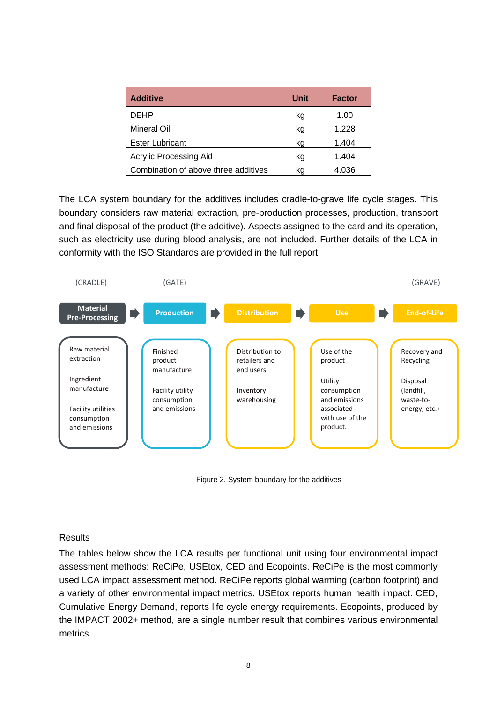| <b>Additive</b>                      | Unit | <b>Factor</b> |
|--------------------------------------|------|---------------|
| <b>DEHP</b>                          | kg   | 1.00          |
| <b>Mineral Oil</b>                   | kg   | 1.228         |
| <b>Ester Lubricant</b>               | kg   | 1.404         |
| <b>Acrylic Processing Aid</b>        | kg   | 1.404         |
| Combination of above three additives | kq   | 4.036         |

The LCA system boundary for the additives includes cradle-to-grave life cycle stages. This boundary considers raw material extraction, pre-production processes, production, transport and final disposal of the product (the additive). Aspects assigned to the card and its operation, such as electricity use during blood analysis, are not included. Further details of the LCA in conformity with the ISO Standards are provided in the full report.



Figure 2. System boundary for the additives

#### **Results**

The tables below show the LCA results per functional unit using four environmental impact assessment methods: ReCiPe, USEtox, CED and Ecopoints. ReCiPe is the most commonly used LCA impact assessment method. ReCiPe reports global warming (carbon footprint) and a variety of other environmental impact metrics. USEtox reports human health impact. CED, Cumulative Energy Demand, reports life cycle energy requirements. Ecopoints, produced by the IMPACT 2002+ method, are a single number result that combines various environmental metrics.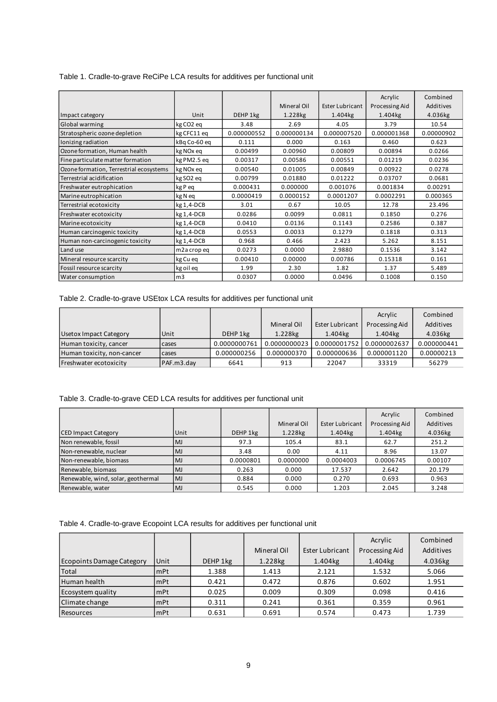|  | Table 1. Cradle-to-grave ReCiPe LCA results for additives per functional unit |
|--|-------------------------------------------------------------------------------|
|--|-------------------------------------------------------------------------------|

|                                         |                          |             |             |                        | Acrylic        | Combined   |
|-----------------------------------------|--------------------------|-------------|-------------|------------------------|----------------|------------|
|                                         |                          |             | Mineral Oil | <b>Ester Lubricant</b> | Processing Aid | Additives  |
| Impact category                         | Unit                     | DEHP 1kg    | 1.228kg     | 1.404kg                | 1.404kg        | 4.036kg    |
| Global warming                          | kg CO <sub>2</sub> eq    | 3.48        | 2.69        | 4.05                   | 3.79           | 10.54      |
| Stratospheric ozone depletion           | kg CFC11 eq              | 0.000000552 | 0.000000134 | 0.000007520            | 0.000001368    | 0.00000902 |
| Ionizing radiation                      | kBg Co-60 eg             | 0.111       | 0.000       | 0.163                  | 0.460          | 0.623      |
| Ozone formation, Human health           | kg NO <sub>x</sub> eq    | 0.00499     | 0.00960     | 0.00809                | 0.00894        | 0.0266     |
| Fine particulate matter formation       | kg PM2.5 eg              | 0.00317     | 0.00586     | 0.00551                | 0.01219        | 0.0236     |
| Ozone formation, Terrestrial ecosystems | kg NO <sub>x</sub> eq    | 0.00540     | 0.01005     | 0.00849                | 0.00922        | 0.0278     |
| Terrestrial acidification               | kg SO <sub>2</sub> eq    | 0.00799     | 0.01880     | 0.01222                | 0.03707        | 0.0681     |
| Freshwater eutrophication               | kg P eq                  | 0.000431    | 0.000000    | 0.001076               | 0.001834       | 0.00291    |
| Marine eutrophication                   | kg N eq                  | 0.0000419   | 0.0000152   | 0.0001207              | 0.0002291      | 0.000365   |
| Terrestrial ecotoxicity                 | $kg1, 4-DCB$             | 3.01        | 0.67        | 10.05                  | 12.78          | 23.496     |
| Freshwater ecotoxicity                  | kg 1,4-DCB               | 0.0286      | 0.0099      | 0.0811                 | 0.1850         | 0.276      |
| Marine ecotoxicity                      | kg 1,4-DCB               | 0.0410      | 0.0136      | 0.1143                 | 0.2586         | 0.387      |
| Human carcinogenic toxicity             | kg 1,4-DCB               | 0.0553      | 0.0033      | 0.1279                 | 0.1818         | 0.313      |
| Human non-carcinogenic toxicity         | kg 1,4-DCB               | 0.968       | 0.466       | 2.423                  | 5.262          | 8.151      |
| Land use                                | m <sub>2</sub> a crop eq | 0.0273      | 0.0000      | 2.9880                 | 0.1536         | 3.142      |
| Mineral resource scarcity               | kg Cu eq                 | 0.00410     | 0.00000     | 0.00786                | 0.15318        | 0.161      |
| Fossil resource scarcity                | kg oil eq                | 1.99        | 2.30        | 1.82                   | 1.37           | 5.489      |
| Water consumption                       | m <sub>3</sub>           | 0.0307      | 0.0000      | 0.0496                 | 0.1008         | 0.150      |

Table 2. Cradle-to-grave USEtox LCA results for additives per functional unit

|                            |            |              |              |                 | Acrylic        | Combined    |
|----------------------------|------------|--------------|--------------|-----------------|----------------|-------------|
|                            |            |              | Mineral Oil  | Ester Lubricant | Processing Aid | Additives   |
| Usetox Impact Category     | Unit       | DEHP 1kg     | 1.228kg      | 1.404kg         | 1.404kg        | 4.036kg     |
| Human toxicity, cancer     | cases      | 0.0000000761 | 0.0000000023 | 0.0000001752    | 0.0000002637   | 0.000000441 |
| Human toxicity, non-cancer | cases      | 0.000000256  | 0.000000370  | 0.000000636     | 0.000001120    | 0.00000213  |
| Freshwater ecotoxicity     | PAF.m3.day | 6641         | 913          | 22047           | 33319          | 56279       |

| Table 3. Cradle-to-grave CED LCA results for additives per functional unit |  |  |  |  |  |  |  |
|----------------------------------------------------------------------------|--|--|--|--|--|--|--|
|----------------------------------------------------------------------------|--|--|--|--|--|--|--|

|                                    |           |           |             |                        | Acrylic        | Combined  |
|------------------------------------|-----------|-----------|-------------|------------------------|----------------|-----------|
|                                    |           |           | Mineral Oil | <b>Ester Lubricant</b> | Processing Aid | Additives |
| <b>CED Impact Category</b>         | Unit      | DEHP 1kg  | 1.228kg     | 1.404kg                | 1.404kg        | 4.036kg   |
| Non renewable, fossil              | <b>MJ</b> | 97.3      | 105.4       | 83.1                   | 62.7           | 251.2     |
| Non-renewable, nuclear             | <b>MJ</b> | 3.48      | 0.00        | 4.11                   | 8.96           | 13.07     |
| Non-renewable, biomass             | <b>MJ</b> | 0.0000801 | 0.0000000   | 0.0004003              | 0.0006745      | 0.00107   |
| Renewable, biomass                 | <b>MJ</b> | 0.263     | 0.000       | 17.537                 | 2.642          | 20.179    |
| Renewable, wind, solar, geothermal | <b>MJ</b> | 0.884     | 0.000       | 0.270                  | 0.693          | 0.963     |
| Renewable, water                   | <b>MJ</b> | 0.545     | 0.000       | 1.203                  | 2.045          | 3.248     |

Table 4. Cradle-to-grave Ecopoint LCA results for additives per functional unit

|                                  |            |          |             |                 | Acrylic        | Combined  |
|----------------------------------|------------|----------|-------------|-----------------|----------------|-----------|
|                                  |            |          | Mineral Oil | Ester Lubricant | Processing Aid | Additives |
| <b>Ecopoints Damage Category</b> | Unit       | DEHP 1kg | 1.228kg     | 1.404kg         | 1.404kg        | 4.036kg   |
| Total                            | <b>mPt</b> | 1.388    | 1.413       | 2.121           | 1.532          | 5.066     |
| Human health                     | <b>mPt</b> | 0.421    | 0.472       | 0.876           | 0.602          | 1.951     |
| Ecosystem quality                | <b>mPt</b> | 0.025    | 0.009       | 0.309           | 0.098          | 0.416     |
| Climate change                   | <b>mPt</b> | 0.311    | 0.241       | 0.361           | 0.359          | 0.961     |
| <b>Resources</b>                 | <b>mPt</b> | 0.631    | 0.691       | 0.574           | 0.473          | 1.739     |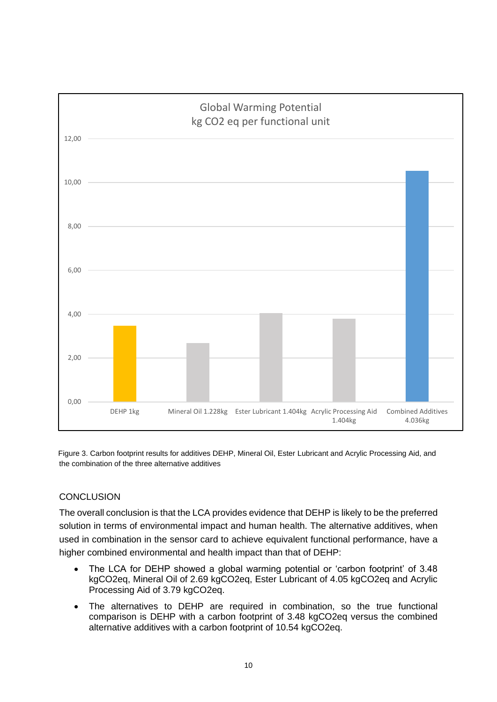

Figure 3. Carbon footprint results for additives DEHP, Mineral Oil, Ester Lubricant and Acrylic Processing Aid, and the combination of the three alternative additives

## **CONCLUSION**

The overall conclusion is that the LCA provides evidence that DEHP is likely to be the preferred solution in terms of environmental impact and human health. The alternative additives, when used in combination in the sensor card to achieve equivalent functional performance, have a higher combined environmental and health impact than that of DEHP:

- The LCA for DEHP showed a global warming potential or 'carbon footprint' of 3.48 kgCO2eq, Mineral Oil of 2.69 kgCO2eq, Ester Lubricant of 4.05 kgCO2eq and Acrylic Processing Aid of 3.79 kgCO2eq.
- The alternatives to DEHP are required in combination, so the true functional comparison is DEHP with a carbon footprint of 3.48 kgCO2eq versus the combined alternative additives with a carbon footprint of 10.54 kgCO2eq.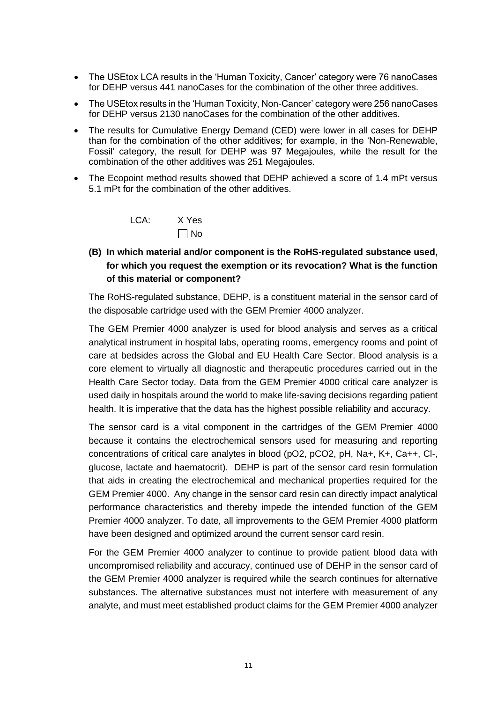- The USE tox LCA results in the 'Human Toxicity, Cancer' category were 76 nanoCases for DEHP versus 441 nanoCases for the combination of the other three additives.
- The USEtox results in the 'Human Toxicity, Non-Cancer' category were 256 nanoCases for DEHP versus 2130 nanoCases for the combination of the other additives.
- The results for Cumulative Energy Demand (CED) were lower in all cases for DEHP than for the combination of the other additives; for example, in the 'Non-Renewable, Fossil' category, the result for DEHP was 97 Megajoules, while the result for the combination of the other additives was 251 Megajoules.
- The Ecopoint method results showed that DEHP achieved a score of 1.4 mPt versus 5.1 mPt for the combination of the other additives.

| LCA: | X Yes     |
|------|-----------|
|      | $\Box$ No |

## **(B) In which material and/or component is the RoHS-regulated substance used, for which you request the exemption or its revocation? What is the function of this material or component?**

The RoHS-regulated substance, DEHP, is a constituent material in the sensor card of the disposable cartridge used with the GEM Premier 4000 analyzer.

The GEM Premier 4000 analyzer is used for blood analysis and serves as a critical analytical instrument in hospital labs, operating rooms, emergency rooms and point of care at bedsides across the Global and EU Health Care Sector. Blood analysis is a core element to virtually all diagnostic and therapeutic procedures carried out in the Health Care Sector today. Data from the GEM Premier 4000 critical care analyzer is used daily in hospitals around the world to make life-saving decisions regarding patient health. It is imperative that the data has the highest possible reliability and accuracy.

The sensor card is a vital component in the cartridges of the GEM Premier 4000 because it contains the electrochemical sensors used for measuring and reporting concentrations of critical care analytes in blood (pO2, pCO2, pH, Na+, K+, Ca++, Cl-, glucose, lactate and haematocrit). DEHP is part of the sensor card resin formulation that aids in creating the electrochemical and mechanical properties required for the GEM Premier 4000. Any change in the sensor card resin can directly impact analytical performance characteristics and thereby impede the intended function of the GEM Premier 4000 analyzer. To date, all improvements to the GEM Premier 4000 platform have been designed and optimized around the current sensor card resin.

For the GEM Premier 4000 analyzer to continue to provide patient blood data with uncompromised reliability and accuracy, continued use of DEHP in the sensor card of the GEM Premier 4000 analyzer is required while the search continues for alternative substances. The alternative substances must not interfere with measurement of any analyte, and must meet established product claims for the GEM Premier 4000 analyzer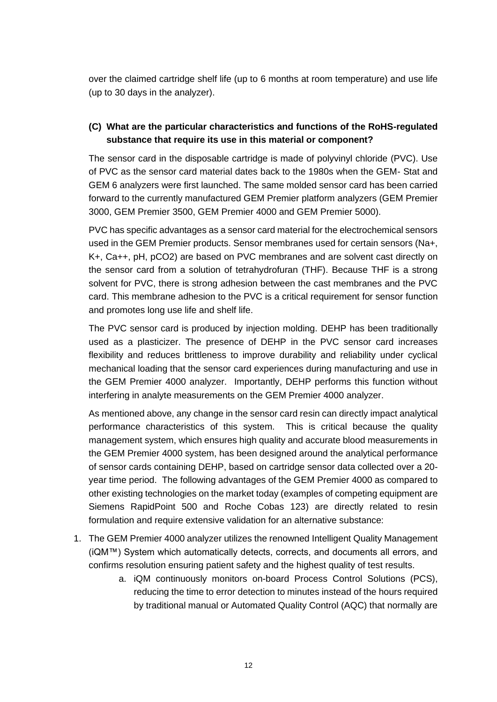over the claimed cartridge shelf life (up to 6 months at room temperature) and use life (up to 30 days in the analyzer).

#### **(C) What are the particular characteristics and functions of the RoHS-regulated substance that require its use in this material or component?**

The sensor card in the disposable cartridge is made of polyvinyl chloride (PVC). Use of PVC as the sensor card material dates back to the 1980s when the GEM- Stat and GEM 6 analyzers were first launched. The same molded sensor card has been carried forward to the currently manufactured GEM Premier platform analyzers (GEM Premier 3000, GEM Premier 3500, GEM Premier 4000 and GEM Premier 5000).

PVC has specific advantages as a sensor card material for the electrochemical sensors used in the GEM Premier products. Sensor membranes used for certain sensors (Na+, K+, Ca++, pH, pCO2) are based on PVC membranes and are solvent cast directly on the sensor card from a solution of tetrahydrofuran (THF). Because THF is a strong solvent for PVC, there is strong adhesion between the cast membranes and the PVC card. This membrane adhesion to the PVC is a critical requirement for sensor function and promotes long use life and shelf life.

The PVC sensor card is produced by injection molding. DEHP has been traditionally used as a plasticizer. The presence of DEHP in the PVC sensor card increases flexibility and reduces brittleness to improve durability and reliability under cyclical mechanical loading that the sensor card experiences during manufacturing and use in the GEM Premier 4000 analyzer. Importantly, DEHP performs this function without interfering in analyte measurements on the GEM Premier 4000 analyzer.

As mentioned above, any change in the sensor card resin can directly impact analytical performance characteristics of this system. This is critical because the quality management system, which ensures high quality and accurate blood measurements in the GEM Premier 4000 system, has been designed around the analytical performance of sensor cards containing DEHP, based on cartridge sensor data collected over a 20 year time period. The following advantages of the GEM Premier 4000 as compared to other existing technologies on the market today (examples of competing equipment are Siemens RapidPoint 500 and Roche Cobas 123) are directly related to resin formulation and require extensive validation for an alternative substance:

- 1. The GEM Premier 4000 analyzer utilizes the renowned Intelligent Quality Management (iQM™) System which automatically detects, corrects, and documents all errors, and confirms resolution ensuring patient safety and the highest quality of test results.
	- a. iQM continuously monitors on-board Process Control Solutions (PCS), reducing the time to error detection to minutes instead of the hours required by traditional manual or Automated Quality Control (AQC) that normally are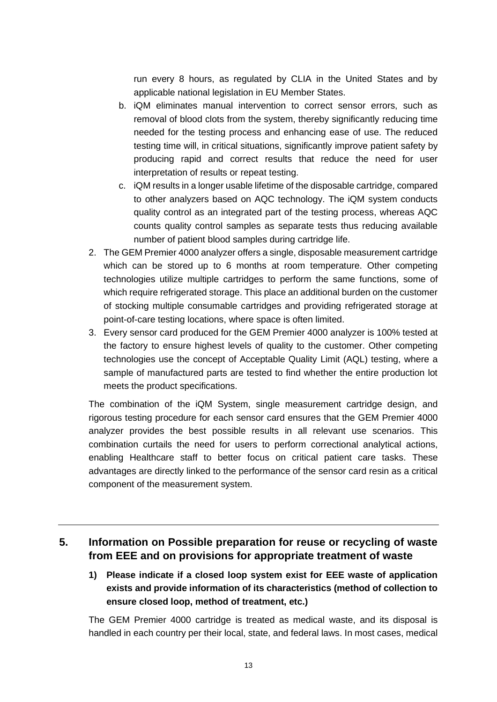run every 8 hours, as regulated by CLIA in the United States and by applicable national legislation in EU Member States.

- b. iQM eliminates manual intervention to correct sensor errors, such as removal of blood clots from the system, thereby significantly reducing time needed for the testing process and enhancing ease of use. The reduced testing time will, in critical situations, significantly improve patient safety by producing rapid and correct results that reduce the need for user interpretation of results or repeat testing.
- c. iQM results in a longer usable lifetime of the disposable cartridge, compared to other analyzers based on AQC technology. The iQM system conducts quality control as an integrated part of the testing process, whereas AQC counts quality control samples as separate tests thus reducing available number of patient blood samples during cartridge life.
- 2. The GEM Premier 4000 analyzer offers a single, disposable measurement cartridge which can be stored up to 6 months at room temperature. Other competing technologies utilize multiple cartridges to perform the same functions, some of which require refrigerated storage. This place an additional burden on the customer of stocking multiple consumable cartridges and providing refrigerated storage at point-of-care testing locations, where space is often limited.
- 3. Every sensor card produced for the GEM Premier 4000 analyzer is 100% tested at the factory to ensure highest levels of quality to the customer. Other competing technologies use the concept of Acceptable Quality Limit (AQL) testing, where a sample of manufactured parts are tested to find whether the entire production lot meets the product specifications.

The combination of the iQM System, single measurement cartridge design, and rigorous testing procedure for each sensor card ensures that the GEM Premier 4000 analyzer provides the best possible results in all relevant use scenarios. This combination curtails the need for users to perform correctional analytical actions, enabling Healthcare staff to better focus on critical patient care tasks. These advantages are directly linked to the performance of the sensor card resin as a critical component of the measurement system.

# **5. Information on Possible preparation for reuse or recycling of waste from EEE and on provisions for appropriate treatment of waste**

**1) Please indicate if a closed loop system exist for EEE waste of application exists and provide information of its characteristics (method of collection to ensure closed loop, method of treatment, etc.)**

The GEM Premier 4000 cartridge is treated as medical waste, and its disposal is handled in each country per their local, state, and federal laws. In most cases, medical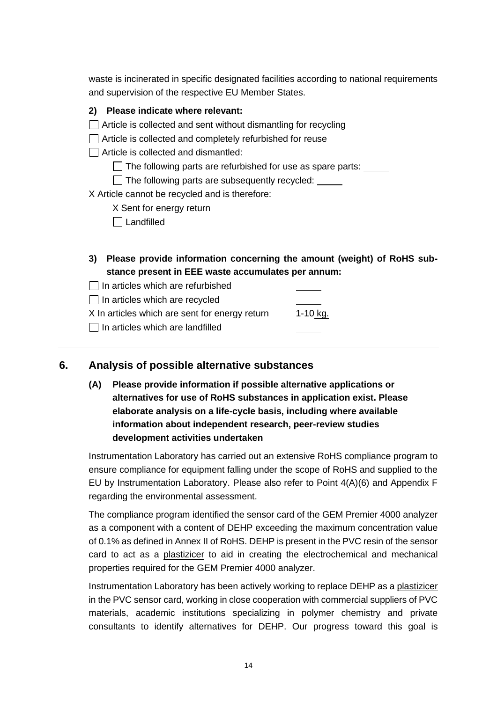waste is incinerated in specific designated facilities according to national requirements and supervision of the respective EU Member States.

| Please indicate where relevant:<br>2)                                                                                              |          |
|------------------------------------------------------------------------------------------------------------------------------------|----------|
| Article is collected and sent without dismantling for recycling                                                                    |          |
| Article is collected and completely refurbished for reuse                                                                          |          |
| Article is collected and dismantled:                                                                                               |          |
| The following parts are refurbished for use as spare parts: _____                                                                  |          |
| The following parts are subsequently recycled:                                                                                     |          |
| X Article cannot be recycled and is therefore:                                                                                     |          |
| X Sent for energy return                                                                                                           |          |
| Landfilled                                                                                                                         |          |
|                                                                                                                                    |          |
| Please provide information concerning the amount (weight) of RoHS sub-<br>3)<br>stance present in EEE waste accumulates per annum: |          |
| In articles which are refurbished                                                                                                  |          |
| In articles which are recycled                                                                                                     |          |
| X In articles which are sent for energy return                                                                                     | 1-10 kg. |
| In articles which are landfilled                                                                                                   |          |

## **6. Analysis of possible alternative substances**

**(A) Please provide information if possible alternative applications or alternatives for use of RoHS substances in application exist. Please elaborate analysis on a life-cycle basis, including where available information about independent research, peer-review studies development activities undertaken**

Instrumentation Laboratory has carried out an extensive RoHS compliance program to ensure compliance for equipment falling under the scope of RoHS and supplied to the EU by Instrumentation Laboratory. Please also refer to Point 4(A)(6) and Appendix F regarding the environmental assessment.

The compliance program identified the sensor card of the GEM Premier 4000 analyzer as a component with a content of DEHP exceeding the maximum concentration value of 0.1% as defined in Annex II of RoHS. DEHP is present in the PVC resin of the sensor card to act as a plastizicer to aid in creating the electrochemical and mechanical properties required for the GEM Premier 4000 analyzer.

Instrumentation Laboratory has been actively working to replace DEHP as a plastizicer in the PVC sensor card, working in close cooperation with commercial suppliers of PVC materials, academic institutions specializing in polymer chemistry and private consultants to identify alternatives for DEHP. Our progress toward this goal is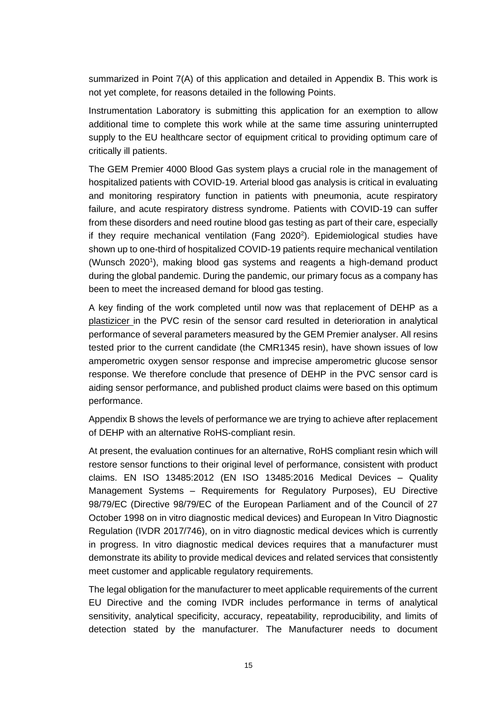summarized in Point 7(A) of this application and detailed in Appendix B. This work is not yet complete, for reasons detailed in the following Points.

Instrumentation Laboratory is submitting this application for an exemption to allow additional time to complete this work while at the same time assuring uninterrupted supply to the EU healthcare sector of equipment critical to providing optimum care of critically ill patients.

The GEM Premier 4000 Blood Gas system plays a crucial role in the management of hospitalized patients with COVID-19. Arterial blood gas analysis is critical in evaluating and monitoring respiratory function in patients with pneumonia, acute respiratory failure, and acute respiratory distress syndrome. Patients with COVID-19 can suffer from these disorders and need routine blood gas testing as part of their care, especially if they require mechanical ventilation (Fang 2020<sup>2</sup>). Epidemiological studies have shown up to one-third of hospitalized COVID-19 patients require mechanical ventilation (Wunsch 2020<sup>1</sup>), making blood gas systems and reagents a high-demand product during the global pandemic. During the pandemic, our primary focus as a company has been to meet the increased demand for blood gas testing.

A key finding of the work completed until now was that replacement of DEHP as a plastizicer in the PVC resin of the sensor card resulted in deterioration in analytical performance of several parameters measured by the GEM Premier analyser. All resins tested prior to the current candidate (the CMR1345 resin), have shown issues of low amperometric oxygen sensor response and imprecise amperometric glucose sensor response. We therefore conclude that presence of DEHP in the PVC sensor card is aiding sensor performance, and published product claims were based on this optimum performance.

Appendix B shows the levels of performance we are trying to achieve after replacement of DEHP with an alternative RoHS-compliant resin.

At present, the evaluation continues for an alternative, RoHS compliant resin which will restore sensor functions to their original level of performance, consistent with product claims. EN ISO 13485:2012 (EN ISO 13485:2016 Medical Devices – Quality Management Systems – Requirements for Regulatory Purposes), EU Directive 98/79/EC (Directive 98/79/EC of the European Parliament and of the Council of 27 October 1998 on in vitro diagnostic medical devices) and European In Vitro Diagnostic Regulation (IVDR 2017/746), on in vitro diagnostic medical devices which is currently in progress. In vitro diagnostic medical devices requires that a manufacturer must demonstrate its ability to provide medical devices and related services that consistently meet customer and applicable regulatory requirements.

The legal obligation for the manufacturer to meet applicable requirements of the current EU Directive and the coming IVDR includes performance in terms of analytical sensitivity, analytical specificity, accuracy, repeatability, reproducibility, and limits of detection stated by the manufacturer. The Manufacturer needs to document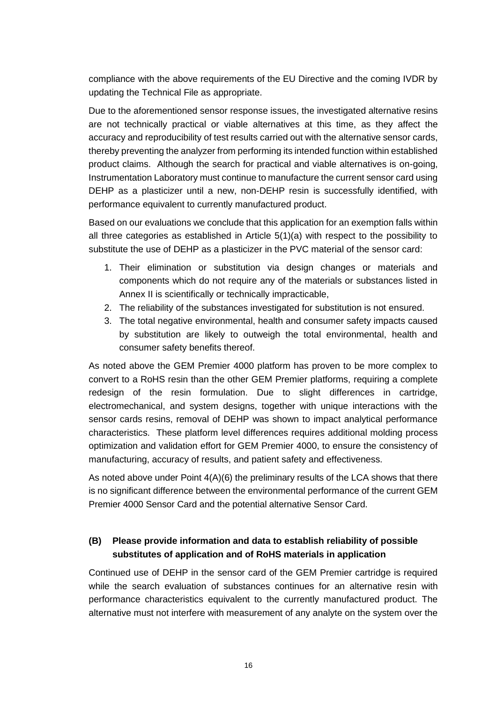compliance with the above requirements of the EU Directive and the coming IVDR by updating the Technical File as appropriate.

Due to the aforementioned sensor response issues, the investigated alternative resins are not technically practical or viable alternatives at this time, as they affect the accuracy and reproducibility of test results carried out with the alternative sensor cards, thereby preventing the analyzer from performing its intended function within established product claims. Although the search for practical and viable alternatives is on-going, Instrumentation Laboratory must continue to manufacture the current sensor card using DEHP as a plasticizer until a new, non-DEHP resin is successfully identified, with performance equivalent to currently manufactured product.

Based on our evaluations we conclude that this application for an exemption falls within all three categories as established in Article 5(1)(a) with respect to the possibility to substitute the use of DEHP as a plasticizer in the PVC material of the sensor card:

- 1. Their elimination or substitution via design changes or materials and components which do not require any of the materials or substances listed in Annex II is scientifically or technically impracticable,
- 2. The reliability of the substances investigated for substitution is not ensured.
- 3. The total negative environmental, health and consumer safety impacts caused by substitution are likely to outweigh the total environmental, health and consumer safety benefits thereof.

As noted above the GEM Premier 4000 platform has proven to be more complex to convert to a RoHS resin than the other GEM Premier platforms, requiring a complete redesign of the resin formulation. Due to slight differences in cartridge, electromechanical, and system designs, together with unique interactions with the sensor cards resins, removal of DEHP was shown to impact analytical performance characteristics. These platform level differences requires additional molding process optimization and validation effort for GEM Premier 4000, to ensure the consistency of manufacturing, accuracy of results, and patient safety and effectiveness.

As noted above under Point  $4(A)(6)$  the preliminary results of the LCA shows that there is no significant difference between the environmental performance of the current GEM Premier 4000 Sensor Card and the potential alternative Sensor Card.

#### **(B) Please provide information and data to establish reliability of possible substitutes of application and of RoHS materials in application**

Continued use of DEHP in the sensor card of the GEM Premier cartridge is required while the search evaluation of substances continues for an alternative resin with performance characteristics equivalent to the currently manufactured product. The alternative must not interfere with measurement of any analyte on the system over the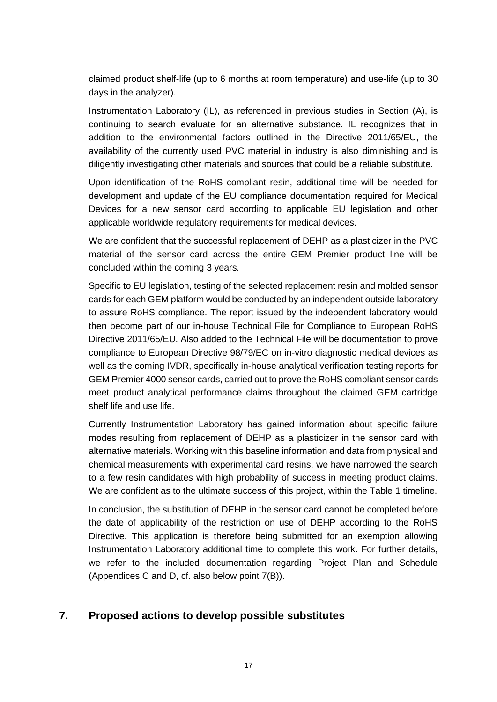claimed product shelf-life (up to 6 months at room temperature) and use-life (up to 30 days in the analyzer).

Instrumentation Laboratory (IL), as referenced in previous studies in Section (A), is continuing to search evaluate for an alternative substance. IL recognizes that in addition to the environmental factors outlined in the Directive 2011/65/EU, the availability of the currently used PVC material in industry is also diminishing and is diligently investigating other materials and sources that could be a reliable substitute.

Upon identification of the RoHS compliant resin, additional time will be needed for development and update of the EU compliance documentation required for Medical Devices for a new sensor card according to applicable EU legislation and other applicable worldwide regulatory requirements for medical devices.

We are confident that the successful replacement of DEHP as a plasticizer in the PVC material of the sensor card across the entire GEM Premier product line will be concluded within the coming 3 years.

Specific to EU legislation, testing of the selected replacement resin and molded sensor cards for each GEM platform would be conducted by an independent outside laboratory to assure RoHS compliance. The report issued by the independent laboratory would then become part of our in-house Technical File for Compliance to European RoHS Directive 2011/65/EU. Also added to the Technical File will be documentation to prove compliance to European Directive 98/79/EC on in-vitro diagnostic medical devices as well as the coming IVDR, specifically in-house analytical verification testing reports for GEM Premier 4000 sensor cards, carried out to prove the RoHS compliant sensor cards meet product analytical performance claims throughout the claimed GEM cartridge shelf life and use life.

Currently Instrumentation Laboratory has gained information about specific failure modes resulting from replacement of DEHP as a plasticizer in the sensor card with alternative materials. Working with this baseline information and data from physical and chemical measurements with experimental card resins, we have narrowed the search to a few resin candidates with high probability of success in meeting product claims. We are confident as to the ultimate success of this project, within the Table 1 timeline.

In conclusion, the substitution of DEHP in the sensor card cannot be completed before the date of applicability of the restriction on use of DEHP according to the RoHS Directive. This application is therefore being submitted for an exemption allowing Instrumentation Laboratory additional time to complete this work. For further details, we refer to the included documentation regarding Project Plan and Schedule (Appendices C and D, cf. also below point 7(B)).

# **7. Proposed actions to develop possible substitutes**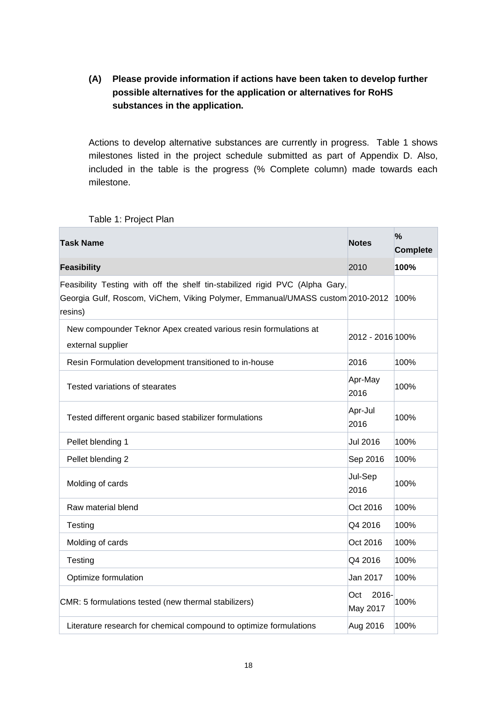## **(A) Please provide information if actions have been taken to develop further possible alternatives for the application or alternatives for RoHS substances in the application.**

Actions to develop alternative substances are currently in progress. Table 1 shows milestones listed in the project schedule submitted as part of Appendix D. Also, included in the table is the progress (% Complete column) made towards each milestone.

Table 1: Project Plan

| <b>Task Name</b>                                                                                                                                                         | <b>Notes</b>             | $\%$<br><b>Complete</b> |
|--------------------------------------------------------------------------------------------------------------------------------------------------------------------------|--------------------------|-------------------------|
| <b>Feasibility</b>                                                                                                                                                       | 2010                     | 100%                    |
| Feasibility Testing with off the shelf tin-stabilized rigid PVC (Alpha Gary,<br>Georgia Gulf, Roscom, ViChem, Viking Polymer, Emmanual/UMASS custom 2010-2012<br>resins) |                          | 100%                    |
| New compounder Teknor Apex created various resin formulations at<br>external supplier                                                                                    | 2012 - 2016 100%         |                         |
| Resin Formulation development transitioned to in-house                                                                                                                   | 2016                     | 100%                    |
| Tested variations of stearates                                                                                                                                           | Apr-May<br>2016          | 100%                    |
| Tested different organic based stabilizer formulations                                                                                                                   | Apr-Jul<br>2016          | 100%                    |
| Pellet blending 1                                                                                                                                                        | <b>Jul 2016</b>          | 100%                    |
| Pellet blending 2                                                                                                                                                        | Sep 2016                 | 100%                    |
| Molding of cards                                                                                                                                                         | Jul-Sep<br>2016          | 100%                    |
| Raw material blend                                                                                                                                                       | Oct 2016                 | 100%                    |
| Testing                                                                                                                                                                  | Q4 2016                  | 100%                    |
| Molding of cards                                                                                                                                                         | Oct 2016                 | 100%                    |
| Testing                                                                                                                                                                  | Q4 2016                  | 100%                    |
| Optimize formulation                                                                                                                                                     | Jan 2017                 | 100%                    |
| CMR: 5 formulations tested (new thermal stabilizers)                                                                                                                     | 2016-<br>Oct<br>May 2017 | 100%                    |
| Literature research for chemical compound to optimize formulations                                                                                                       | Aug 2016                 | 100%                    |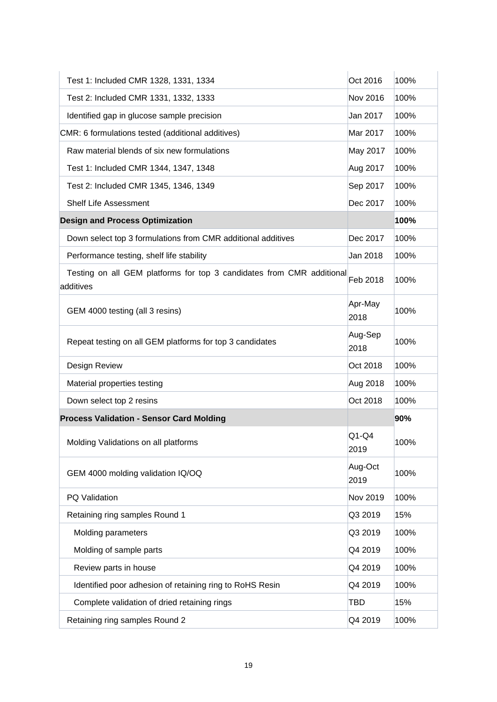| Test 1: Included CMR 1328, 1331, 1334                                              | Oct 2016        | 100% |
|------------------------------------------------------------------------------------|-----------------|------|
| Test 2: Included CMR 1331, 1332, 1333                                              | Nov 2016        | 100% |
| Identified gap in glucose sample precision                                         | Jan 2017        | 100% |
| CMR: 6 formulations tested (additional additives)                                  | Mar 2017        | 100% |
| Raw material blends of six new formulations                                        | May 2017        | 100% |
| Test 1: Included CMR 1344, 1347, 1348                                              | Aug 2017        | 100% |
| Test 2: Included CMR 1345, 1346, 1349                                              | Sep 2017        | 100% |
| <b>Shelf Life Assessment</b>                                                       | Dec 2017        | 100% |
| <b>Design and Process Optimization</b>                                             |                 | 100% |
| Down select top 3 formulations from CMR additional additives                       | Dec 2017        | 100% |
| Performance testing, shelf life stability                                          | Jan 2018        | 100% |
| Testing on all GEM platforms for top 3 candidates from CMR additional<br>additives | Feb 2018        | 100% |
| GEM 4000 testing (all 3 resins)                                                    | Apr-May<br>2018 | 100% |
| Repeat testing on all GEM platforms for top 3 candidates                           | Aug-Sep<br>2018 | 100% |
| Design Review                                                                      | Oct 2018        | 100% |
| Material properties testing                                                        | Aug 2018        | 100% |
| Down select top 2 resins                                                           | Oct 2018        | 100% |
| <b>Process Validation - Sensor Card Molding</b>                                    |                 | 90%  |
| Molding Validations on all platforms                                               | $Q1-Q4$<br>2019 | 100% |
| GEM 4000 molding validation IQ/OQ                                                  | Aug-Oct<br>2019 | 100% |
| PQ Validation                                                                      | Nov 2019        | 100% |
| Retaining ring samples Round 1                                                     | Q3 2019         | 15%  |
| Molding parameters                                                                 | Q3 2019         | 100% |
| Molding of sample parts                                                            | Q4 2019         | 100% |
| Review parts in house                                                              | Q4 2019         | 100% |
| Identified poor adhesion of retaining ring to RoHS Resin                           | Q4 2019         | 100% |
| Complete validation of dried retaining rings                                       | TBD             | 15%  |
| Retaining ring samples Round 2                                                     | Q4 2019         | 100% |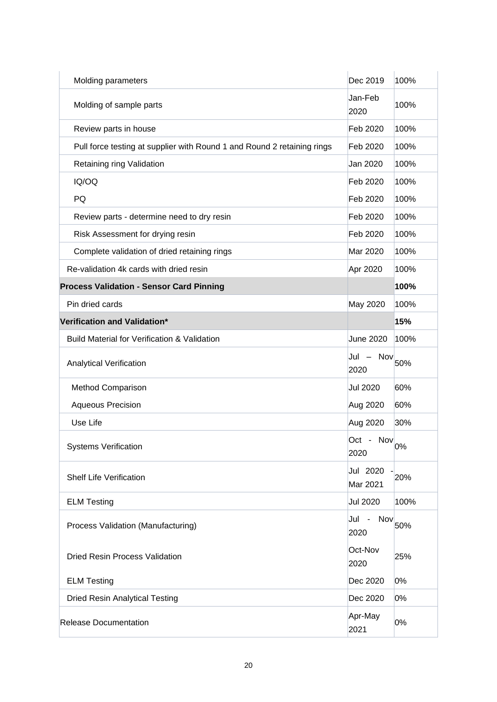| Molding parameters                                                      | Dec 2019             | 100% |
|-------------------------------------------------------------------------|----------------------|------|
| Molding of sample parts                                                 | Jan-Feb<br>2020      | 100% |
| Review parts in house                                                   | Feb 2020             | 100% |
| Pull force testing at supplier with Round 1 and Round 2 retaining rings | Feb 2020             | 100% |
| Retaining ring Validation                                               | Jan 2020             | 100% |
| IQ/OQ                                                                   | Feb 2020             | 100% |
| PQ                                                                      | Feb 2020             | 100% |
| Review parts - determine need to dry resin                              | Feb 2020             | 100% |
| Risk Assessment for drying resin                                        | Feb 2020             | 100% |
| Complete validation of dried retaining rings                            | Mar 2020             | 100% |
| Re-validation 4k cards with dried resin                                 | Apr 2020             | 100% |
| <b>Process Validation - Sensor Card Pinning</b>                         |                      | 100% |
| Pin dried cards                                                         | May 2020             | 100% |
| Verification and Validation*                                            |                      | 15%  |
| <b>Build Material for Verification &amp; Validation</b>                 | <b>June 2020</b>     | 100% |
| <b>Analytical Verification</b>                                          | Jul - Nov<br>2020    | 50%  |
| <b>Method Comparison</b>                                                | <b>Jul 2020</b>      | 60%  |
| <b>Aqueous Precision</b>                                                | Aug 2020             | 60%  |
| Use Life                                                                | Aug 2020             | 30%  |
| <b>Systems Verification</b>                                             | Oct - Nov<br>2020    | 0%   |
| <b>Shelf Life Verification</b>                                          | Jul 2020<br>Mar 2021 | 20%  |
| <b>ELM Testing</b>                                                      | <b>Jul 2020</b>      | 100% |
| Process Validation (Manufacturing)                                      | Nov<br>Jul<br>2020   | 50%  |
| <b>Dried Resin Process Validation</b>                                   | Oct-Nov<br>2020      | 25%  |
| <b>ELM Testing</b>                                                      | Dec 2020             | 0%   |
| <b>Dried Resin Analytical Testing</b>                                   | Dec 2020             | 0%   |
| <b>Release Documentation</b>                                            | Apr-May<br>2021      | 0%   |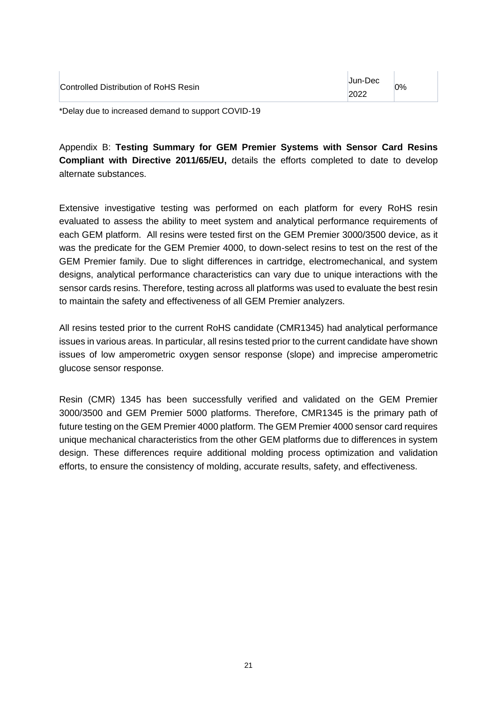| Controlled Distribution of RoHS Resin | Jun-Dec<br>2022 | 0% |
|---------------------------------------|-----------------|----|
|---------------------------------------|-----------------|----|

\*Delay due to increased demand to support COVID-19

Appendix B: **Testing Summary for GEM Premier Systems with Sensor Card Resins Compliant with Directive 2011/65/EU,** details the efforts completed to date to develop alternate substances.

Extensive investigative testing was performed on each platform for every RoHS resin evaluated to assess the ability to meet system and analytical performance requirements of each GEM platform. All resins were tested first on the GEM Premier 3000/3500 device, as it was the predicate for the GEM Premier 4000, to down-select resins to test on the rest of the GEM Premier family. Due to slight differences in cartridge, electromechanical, and system designs, analytical performance characteristics can vary due to unique interactions with the sensor cards resins. Therefore, testing across all platforms was used to evaluate the best resin to maintain the safety and effectiveness of all GEM Premier analyzers.

All resins tested prior to the current RoHS candidate (CMR1345) had analytical performance issues in various areas. In particular, all resins tested prior to the current candidate have shown issues of low amperometric oxygen sensor response (slope) and imprecise amperometric glucose sensor response.

Resin (CMR) 1345 has been successfully verified and validated on the GEM Premier 3000/3500 and GEM Premier 5000 platforms. Therefore, CMR1345 is the primary path of future testing on the GEM Premier 4000 platform. The GEM Premier 4000 sensor card requires unique mechanical characteristics from the other GEM platforms due to differences in system design. These differences require additional molding process optimization and validation efforts, to ensure the consistency of molding, accurate results, safety, and effectiveness.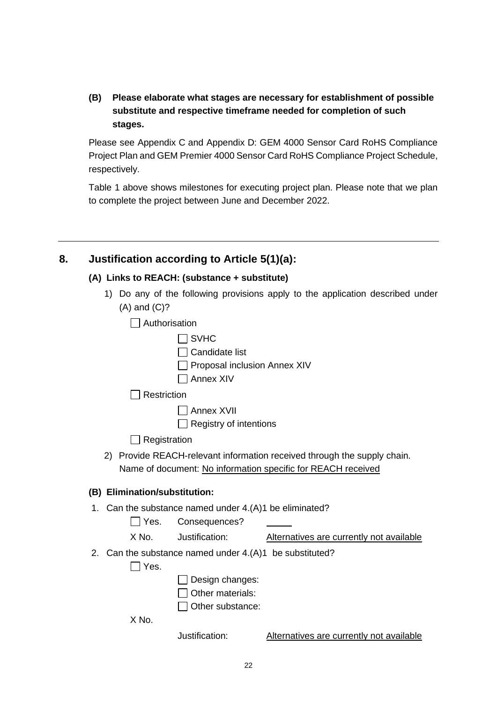**(B) Please elaborate what stages are necessary for establishment of possible substitute and respective timeframe needed for completion of such stages.**

Please see Appendix C and Appendix D: GEM 4000 Sensor Card RoHS Compliance Project Plan and GEM Premier 4000 Sensor Card RoHS Compliance Project Schedule, respectively.

Table 1 above shows milestones for executing project plan. Please note that we plan to complete the project between June and December 2022.

# **8. Justification according to Article 5(1)(a):**

#### **(A) Links to REACH: (substance + substitute)**

- 1) Do any of the following provisions apply to the application described under (A) and (C)?
	- Authorisation
	- $\Box$  SVHC  $\Box$  Candidate list  $\Box$  Proposal inclusion Annex XIV Annex XIV  $\Box$  Restriction

 $\Box$  Annex XVII

 $\Box$  Registry of intentions

 $\Box$  Registration

2) Provide REACH-relevant information received through the supply chain. Name of document: No information specific for REACH received

#### **(B) Elimination/substitution:**

1. Can the substance named under 4.(A)1 be eliminated?

Yes. Consequences?

- X No. Justification: Alternatives are currently not available
- 2. Can the substance named under 4.(A)1 be substituted?

 $\Box$  Yes.

- $\Box$  Design changes:
- $\Box$  Other materials:
- $\Box$  Other substance:

X No.

Justification: Alternatives are currently not available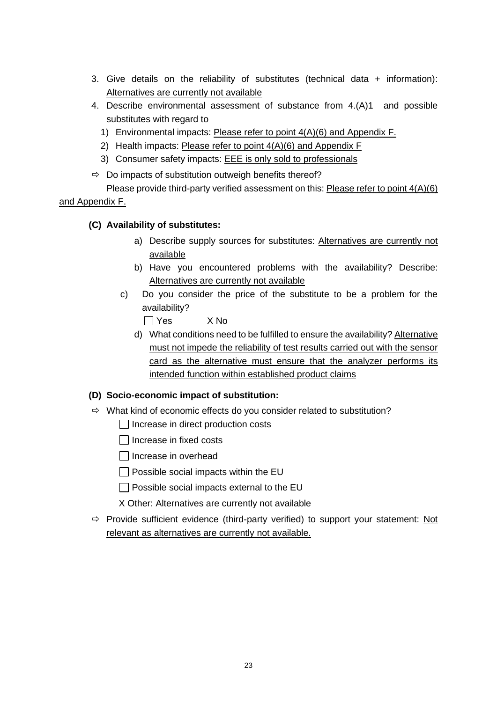- 3. Give details on the reliability of substitutes (technical data + information): Alternatives are currently not available
- 4. Describe environmental assessment of substance from 4.(A)1 and possible substitutes with regard to
	- 1) Environmental impacts: Please refer to point 4(A)(6) and Appendix F.
	- 2) Health impacts: Please refer to point  $4(A)(6)$  and Appendix F
	- 3) Consumer safety impacts: **EEE** is only sold to professionals
- $\Rightarrow$  Do impacts of substitution outweigh benefits thereof?

Please provide third-party verified assessment on this: Please refer to point 4(A)(6) and Appendix F.

#### **(C) Availability of substitutes:**

- a) Describe supply sources for substitutes: Alternatives are currently not available
- b) Have you encountered problems with the availability? Describe: Alternatives are currently not available
- c) Do you consider the price of the substitute to be a problem for the availability?

Yes X No

d) What conditions need to be fulfilled to ensure the availability? Alternative must not impede the reliability of test results carried out with the sensor card as the alternative must ensure that the analyzer performs its intended function within established product claims

#### **(D) Socio-economic impact of substitution:**

- $\Rightarrow$  What kind of economic effects do you consider related to substitution?
	- $\Box$  Increase in direct production costs
	- $\Box$  Increase in fixed costs
	- $\Box$  Increase in overhead
	- $\Box$  Possible social impacts within the EU
	- $\Box$  Possible social impacts external to the EU
	- X Other: Alternatives are currently not available
- $\Rightarrow$  Provide sufficient evidence (third-party verified) to support your statement: Not relevant as alternatives are currently not available.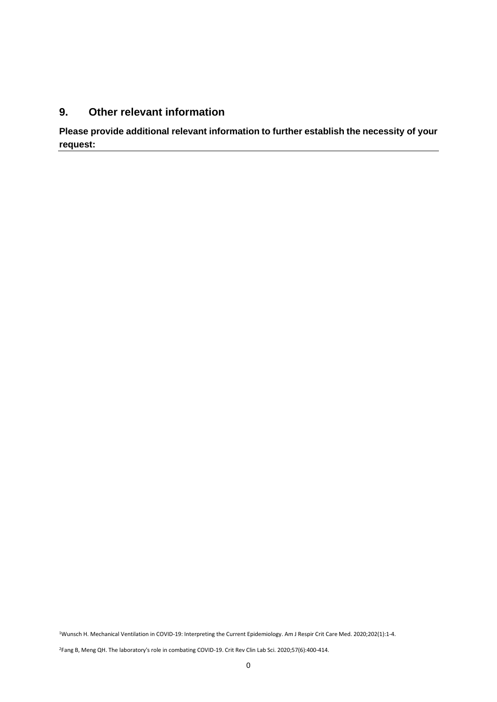#### **9. Other relevant information**

**Please provide additional relevant information to further establish the necessity of your request:**

<sup>1</sup>Wunsch H. Mechanical Ventilation in COVID-19: Interpreting the Current Epidemiology. Am J Respir Crit Care Med. 2020;202(1):1-4.

<sup>2</sup>Fang B, Meng QH. The laboratory's role in combating COVID-19. Crit Rev Clin Lab Sci. 2020;57(6):400-414.